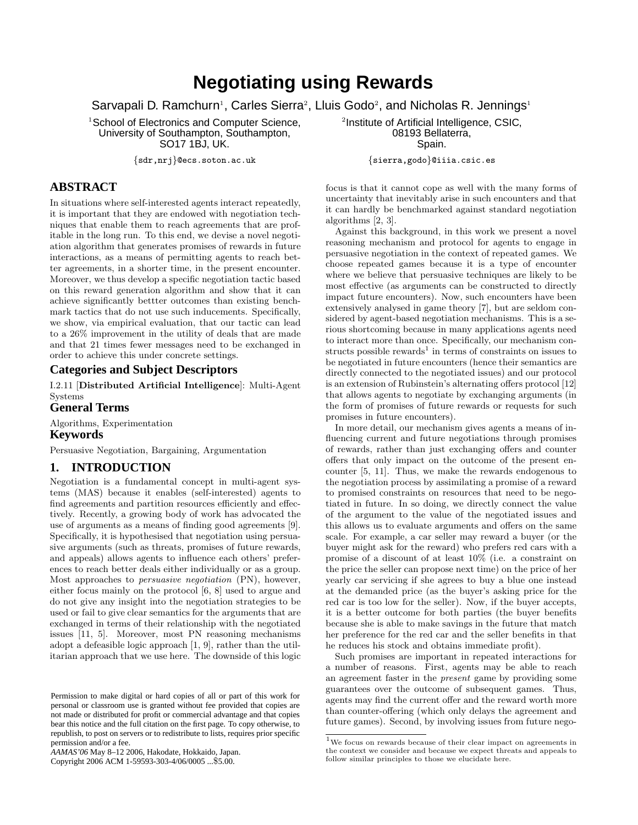# **Negotiating using Rewards**

Sarvapali D. Ramchurn<sup>1</sup>, Carles Sierra<sup>2</sup>, Lluis Godo<sup>2</sup>, and Nicholas R. Jennings<sup>1</sup>

 $1$ School of Electronics and Computer Science. University of Southampton, Southampton, SO17 1BJ, UK.

{sdr,nrj}@ecs.soton.ac.uk

# **ABSTRACT**

In situations where self-interested agents interact repeatedly, it is important that they are endowed with negotiation techniques that enable them to reach agreements that are profitable in the long run. To this end, we devise a novel negotiation algorithm that generates promises of rewards in future interactions, as a means of permitting agents to reach better agreements, in a shorter time, in the present encounter. Moreover, we thus develop a specific negotiation tactic based on this reward generation algorithm and show that it can achieve significantly bettter outcomes than existing benchmark tactics that do not use such inducements. Specifically, we show, via empirical evaluation, that our tactic can lead to a 26% improvement in the utility of deals that are made and that 21 times fewer messages need to be exchanged in order to achieve this under concrete settings.

#### **Categories and Subject Descriptors**

I.2.11 [Distributed Artificial Intelligence]: Multi-Agent Systems

# **General Terms**

Algorithms, Experimentation **Keywords**

Persuasive Negotiation, Bargaining, Argumentation

#### **1. INTRODUCTION**

Negotiation is a fundamental concept in multi-agent systems (MAS) because it enables (self-interested) agents to find agreements and partition resources efficiently and effectively. Recently, a growing body of work has advocated the use of arguments as a means of finding good agreements [9]. Specifically, it is hypothesised that negotiation using persuasive arguments (such as threats, promises of future rewards, and appeals) allows agents to influence each others' preferences to reach better deals either individually or as a group. Most approaches to persuasive negotiation (PN), however, either focus mainly on the protocol [6, 8] used to argue and do not give any insight into the negotiation strategies to be used or fail to give clear semantics for the arguments that are exchanged in terms of their relationship with the negotiated issues [11, 5]. Moreover, most PN reasoning mechanisms adopt a defeasible logic approach [1, 9], rather than the utilitarian approach that we use here. The downside of this logic

*AAMAS'06* May 8–12 2006, Hakodate, Hokkaido, Japan.

Copyright 2006 ACM 1-59593-303-4/06/0005 ...\$5.00.

2 Institute of Artificial Intelligence, CSIC, 08193 Bellaterra,

Spain.

{sierra,godo}@iiia.csic.es

focus is that it cannot cope as well with the many forms of uncertainty that inevitably arise in such encounters and that it can hardly be benchmarked against standard negotiation algorithms [2, 3].

Against this background, in this work we present a novel reasoning mechanism and protocol for agents to engage in persuasive negotiation in the context of repeated games. We choose repeated games because it is a type of encounter where we believe that persuasive techniques are likely to be most effective (as arguments can be constructed to directly impact future encounters). Now, such encounters have been extensively analysed in game theory [7], but are seldom considered by agent-based negotiation mechanisms. This is a serious shortcoming because in many applications agents need to interact more than once. Specifically, our mechanism constructs possible rewards<sup>1</sup> in terms of constraints on issues to be negotiated in future encounters (hence their semantics are directly connected to the negotiated issues) and our protocol is an extension of Rubinstein's alternating offers protocol [12] that allows agents to negotiate by exchanging arguments (in the form of promises of future rewards or requests for such promises in future encounters).

In more detail, our mechanism gives agents a means of influencing current and future negotiations through promises of rewards, rather than just exchanging offers and counter offers that only impact on the outcome of the present encounter [5, 11]. Thus, we make the rewards endogenous to the negotiation process by assimilating a promise of a reward to promised constraints on resources that need to be negotiated in future. In so doing, we directly connect the value of the argument to the value of the negotiated issues and this allows us to evaluate arguments and offers on the same scale. For example, a car seller may reward a buyer (or the buyer might ask for the reward) who prefers red cars with a promise of a discount of at least 10% (i.e. a constraint on the price the seller can propose next time) on the price of her yearly car servicing if she agrees to buy a blue one instead at the demanded price (as the buyer's asking price for the red car is too low for the seller). Now, if the buyer accepts, it is a better outcome for both parties (the buyer benefits because she is able to make savings in the future that match her preference for the red car and the seller benefits in that he reduces his stock and obtains immediate profit).

Such promises are important in repeated interactions for a number of reasons. First, agents may be able to reach an agreement faster in the present game by providing some guarantees over the outcome of subsequent games. Thus, agents may find the current offer and the reward worth more than counter-offering (which only delays the agreement and future games). Second, by involving issues from future nego-

Permission to make digital or hard copies of all or part of this work for personal or classroom use is granted without fee provided that copies are not made or distributed for profit or commercial advantage and that copies bear this notice and the full citation on the first page. To copy otherwise, to republish, to post on servers or to redistribute to lists, requires prior specific permission and/or a fee.

 $^{\rm 1}{\rm We}$  focus on rewards because of their clear impact on agreements in the context we consider and because we expect threats and appeals to follow similar principles to those we elucidate here.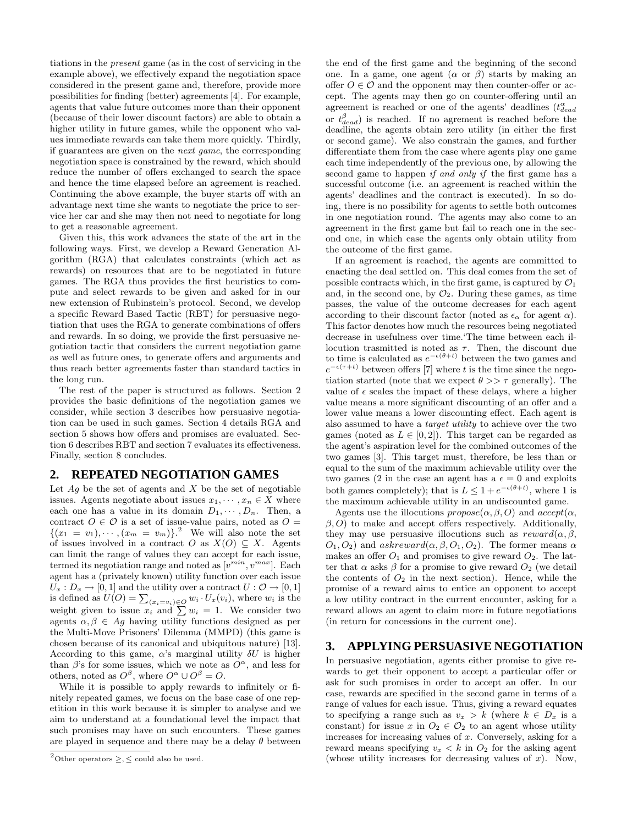tiations in the present game (as in the cost of servicing in the example above), we effectively expand the negotiation space considered in the present game and, therefore, provide more possibilities for finding (better) agreements [4]. For example, agents that value future outcomes more than their opponent (because of their lower discount factors) are able to obtain a higher utility in future games, while the opponent who values immediate rewards can take them more quickly. Thirdly, if guarantees are given on the next game, the corresponding negotiation space is constrained by the reward, which should reduce the number of offers exchanged to search the space and hence the time elapsed before an agreement is reached. Continuing the above example, the buyer starts off with an advantage next time she wants to negotiate the price to service her car and she may then not need to negotiate for long to get a reasonable agreement.

Given this, this work advances the state of the art in the following ways. First, we develop a Reward Generation Algorithm (RGA) that calculates constraints (which act as rewards) on resources that are to be negotiated in future games. The RGA thus provides the first heuristics to compute and select rewards to be given and asked for in our new extension of Rubinstein's protocol. Second, we develop a specific Reward Based Tactic (RBT) for persuasive negotiation that uses the RGA to generate combinations of offers and rewards. In so doing, we provide the first persuasive negotiation tactic that considers the current negotiation game as well as future ones, to generate offers and arguments and thus reach better agreements faster than standard tactics in the long run.

The rest of the paper is structured as follows. Section 2 provides the basic definitions of the negotiation games we consider, while section 3 describes how persuasive negotiation can be used in such games. Section 4 details RGA and section 5 shows how offers and promises are evaluated. Section 6 describes RBT and section 7 evaluates its effectiveness. Finally, section 8 concludes.

### **2. REPEATED NEGOTIATION GAMES**

Let  $Aq$  be the set of agents and  $X$  be the set of negotiable issues. Agents negotiate about issues  $x_1, \dots, x_n \in X$  where each one has a value in its domain  $D_1, \dots, D_n$ . Then, a contract  $O \in \mathcal{O}$  is a set of issue-value pairs, noted as  $O =$  $\{(x_1 = v_1), \cdots, (x_m = v_m)\}\.^2$  We will also note the set of issues involved in a contract O as  $X(O) \subseteq X$ . Agents can limit the range of values they can accept for each issue, termed its negotiation range and noted as  $[v^{min}, v^{max}]$ . Each agent has a (privately known) utility function over each issue  $U_x : D_x \to [0, 1]$  and the utility over a contract  $U : \mathcal{O} \to [0, 1]$ is defined as  $U(O) = \sum_{(x_i=v_i) \in O} w_i \cdot U_x(v_i)$ , where  $w_i$  is the weight given to issue  $x_i$  and  $\sum w_i = 1$ . We consider two agents  $\alpha, \beta \in Ag$  having utility functions designed as per the Multi-Move Prisoners' Dilemma (MMPD) (this game is chosen because of its canonical and ubiquitous nature) [13]. According to this game,  $\alpha$ 's marginal utility  $\delta U$  is higher than  $\beta$ 's for some issues, which we note as  $O^{\alpha}$ , and less for others, noted as  $O^{\beta}$ , where  $O^{\alpha} \cup O^{\beta} = O$ .

While it is possible to apply rewards to infinitely or finitely repeated games, we focus on the base case of one repetition in this work because it is simpler to analyse and we aim to understand at a foundational level the impact that such promises may have on such encounters. These games are played in sequence and there may be a delay  $\theta$  between the end of the first game and the beginning of the second one. In a game, one agent  $(\alpha \text{ or } \beta)$  starts by making an offer  $O \in \mathcal{O}$  and the opponent may then counter-offer or accept. The agents may then go on counter-offering until an agreement is reached or one of the agents' deadlines  $(t^{\alpha}_{dead})$ or  $t_{dead}^{\beta}$  is reached. If no agrement is reached before the deadline, the agents obtain zero utility (in either the first or second game). We also constrain the games, and further differentiate them from the case where agents play one game each time independently of the previous one, by allowing the second game to happen *if and only if* the first game has a successful outcome (i.e. an agreement is reached within the agents' deadlines and the contract is executed). In so doing, there is no possibility for agents to settle both outcomes in one negotiation round. The agents may also come to an agreement in the first game but fail to reach one in the second one, in which case the agents only obtain utility from the outcome of the first game.

If an agreement is reached, the agents are committed to enacting the deal settled on. This deal comes from the set of possible contracts which, in the first game, is captured by  $\mathcal{O}_1$ and, in the second one, by  $\mathcal{O}_2$ . During these games, as time passes, the value of the outcome decreases for each agent according to their discount factor (noted as  $\epsilon_{\alpha}$  for agent  $\alpha$ ). This factor denotes how much the resources being negotiated decrease in usefulness over time.'The time between each illocution trasmitted is noted as  $\tau$ . Then, the discount due to time is calculated as  $e^{-\epsilon(\theta+t)}$  between the two games and  $e^{-\epsilon(\tau+t)}$  between offers [7] where t is the time since the negotiation started (note that we expect  $\theta \gg \tau$  generally). The value of  $\epsilon$  scales the impact of these delays, where a higher value means a more significant discounting of an offer and a lower value means a lower discounting effect. Each agent is also assumed to have a target utility to achieve over the two games (noted as  $L \in [0, 2]$ ). This target can be regarded as the agent's aspiration level for the combined outcomes of the two games [3]. This target must, therefore, be less than or equal to the sum of the maximum achievable utility over the two games (2 in the case an agent has a  $\epsilon = 0$  and exploits both games completely); that is  $L \leq 1 + e^{-\epsilon(\theta + t)}$ , where 1 is the maximum achievable utility in an undiscounted game.

Agents use the illocutions  $propose(\alpha, \beta, O)$  and  $accept(\alpha, \beta, O)$  $\beta$ , O) to make and accept offers respectively. Additionally, they may use persuasive illocutions such as  $reward(\alpha, \beta, \beta)$  $O_1, O_2$ ) and askreward $(\alpha, \beta, O_1, O_2)$ . The former means  $\alpha$ makes an offer  $O_1$  and promises to give reward  $O_2$ . The latter that  $\alpha$  asks  $\beta$  for a promise to give reward  $O_2$  (we detail the contents of  $O_2$  in the next section). Hence, while the promise of a reward aims to entice an opponent to accept a low utility contract in the current encounter, asking for a reward allows an agent to claim more in future negotiations (in return for concessions in the current one).

#### **3. APPLYING PERSUASIVE NEGOTIATION**

In persuasive negotiation, agents either promise to give rewards to get their opponent to accept a particular offer or ask for such promises in order to accept an offer. In our case, rewards are specified in the second game in terms of a range of values for each issue. Thus, giving a reward equates to specifying a range such as  $v_x > k$  (where  $k \in D_x$  is a constant) for issue x in  $O_2 \in \mathcal{O}_2$  to an agent whose utility increases for increasing values of  $x$ . Conversely, asking for a reward means specifying  $v_x < k$  in  $O_2$  for the asking agent (whose utility increases for decreasing values of  $x$ ). Now,

 $^2\text{Other operators} \geq, \leq$  could also be used.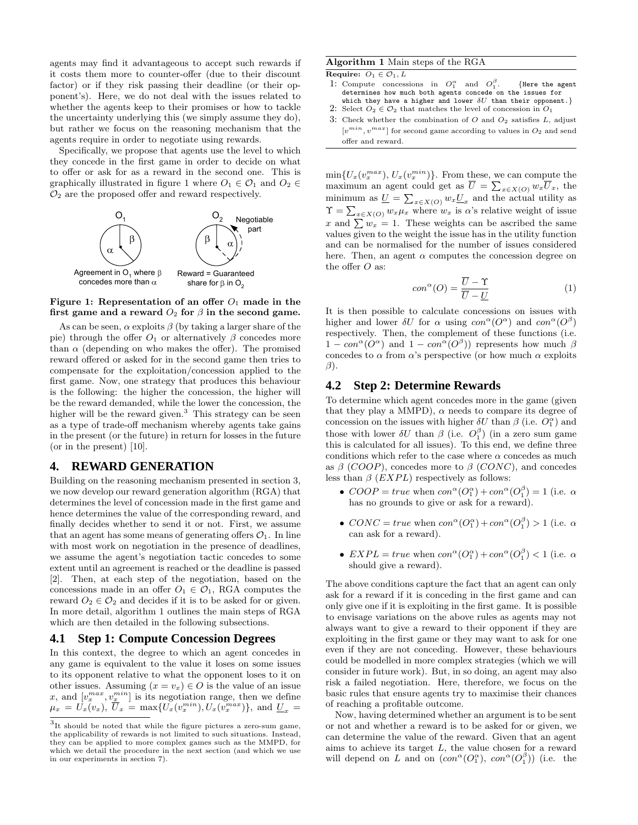agents may find it advantageous to accept such rewards if it costs them more to counter-offer (due to their discount factor) or if they risk passing their deadline (or their opponent's). Here, we do not deal with the issues related to whether the agents keep to their promises or how to tackle the uncertainty underlying this (we simply assume they do), but rather we focus on the reasoning mechanism that the agents require in order to negotiate using rewards.

Specifically, we propose that agents use the level to which they concede in the first game in order to decide on what to offer or ask for as a reward in the second one. This is graphically illustrated in figure 1 where  $O_1 \in \mathcal{O}_1$  and  $O_2 \in$  $\mathcal{O}_2$  are the proposed offer and reward respectively.





As can be seen,  $\alpha$  exploits  $\beta$  (by taking a larger share of the pie) through the offer  $O_1$  or alternatively  $\beta$  concedes more than  $\alpha$  (depending on who makes the offer). The promised reward offered or asked for in the second game then tries to compensate for the exploitation/concession applied to the first game. Now, one strategy that produces this behaviour is the following: the higher the concession, the higher will be the reward demanded, while the lower the concession, the higher will be the reward given. $3$  This strategy can be seen as a type of trade-off mechanism whereby agents take gains in the present (or the future) in return for losses in the future (or in the present) [10].

#### **4. REWARD GENERATION**

Building on the reasoning mechanism presented in section 3, we now develop our reward generation algorithm (RGA) that determines the level of concession made in the first game and hence determines the value of the corresponding reward, and finally decides whether to send it or not. First, we assume that an agent has some means of generating offers  $\mathcal{O}_1$ . In line with most work on negotiation in the presence of deadlines, we assume the agent's negotiation tactic concedes to some extent until an agreement is reached or the deadline is passed [2]. Then, at each step of the negotiation, based on the concessions made in an offer  $O_1 \in \mathcal{O}_1$ , RGA computes the reward  $O_2 \in \mathcal{O}_2$  and decides if it is to be asked for or given. In more detail, algorithm 1 outlines the main steps of RGA which are then detailed in the following subsections.

# **4.1 Step 1: Compute Concession Degrees**

In this context, the degree to which an agent concedes in any game is equivalent to the value it loses on some issues to its opponent relative to what the opponent loses to it on other issues. Assuming  $(x = v_x) \in O$  is the value of an issue x, and  $[v_x^{max}, v_x^{min}]$  is its negotiation range, then we define  $\mu_x = U_x(v_x), \ \overline{U}_x = \max\{U_x(v_x^{min}), U_x(v_x^{max})\}, \text{ and } \underline{U}_x =$ 

#### Algorithm 1 Main steps of the RGA

Require:  $O_1 \in \mathcal{O}_1, L$ 

- 1: Compute concessions in  $O_1^{\alpha}$  and  $O_1^{\beta}$ . {Here the agent determines how much both agents concede on the issues for which they have a higher and lower  $\delta U$  than their opponent.}
- 2: Select  $O_2 \in \mathcal{O}_2$  that matches the level of concession in  $O_1$
- 3: Check whether the combination of  $O$  and  $O_2$  satisfies  $L$ , adjust  $[v^{min}, v^{max}]$  for second game according to values in  $O_2$  and send offer and reward.

 $\min\{U_x(v_x^{max}), U_x(v_x^{min})\}$ . From these, we can compute the maximum an agent could get as  $U = \sum_{x \in X(O)} w_x U_x$ , the minimum as  $\underline{U} = \sum_{x \in X(O)} w_x \underline{U}_x$  and the actual utility as  $\Upsilon = \sum_{x \in X(O)} w_x \mu_x$  where  $w_x$  is  $\alpha$ 's relative weight of issue x and  $\sum w_x = 1$ . These weights can be ascribed the same values given to the weight the issue has in the utility function and can be normalised for the number of issues considered here. Then, an agent  $\alpha$  computes the concession degree on the offer  $O$  as:

$$
con^{\alpha}(O) = \frac{\overline{U} - \Upsilon}{\overline{U} - \underline{U}} \tag{1}
$$

It is then possible to calculate concessions on issues with higher and lower  $\delta U$  for  $\alpha$  using  $con^{\alpha}(O^{\alpha})$  and  $con^{\alpha}(O^{\beta})$ respectively. Then, the complement of these functions (i.e.  $1 - con^{\alpha}(\mathcal{O}^{\alpha})$  and  $1 - con^{\alpha}(\mathcal{O}^{\beta})$  represents how much  $\beta$ concedes to  $\alpha$  from  $\alpha$ 's perspective (or how much  $\alpha$  exploits  $\beta$ ).

#### **4.2 Step 2: Determine Rewards**

To determine which agent concedes more in the game (given that they play a MMPD),  $\alpha$  needs to compare its degree of concession on the issues with higher  $\delta U$  than  $\beta$  (i.e.  $O_1^{\alpha}$ ) and those with lower  $\delta U$  than  $\beta$  (i.e.  $O_1^{\beta}$ ) (in a zero sum game this is calculated for all issues). To this end, we define three conditions which refer to the case where  $\alpha$  concedes as much as  $\beta$  (COOP), concedes more to  $\beta$  (CONC), and concedes less than  $\beta$  (*EXPL*) respectively as follows:

- $COOP = true$  when  $con^{\alpha}(O_1^{\alpha}) + con^{\alpha}(O_1^{\beta}) = 1$  (i.e.  $\alpha$ has no grounds to give or ask for a reward).
- $CONC = true$  when  $con^{\alpha}(O_1^{\alpha}) + con^{\alpha}(O_1^{\beta}) > 1$  (i.e.  $\alpha$ can ask for a reward).
- $EXPL = true$  when  $con^{\alpha}(O_1^{\alpha}) + con^{\alpha}(O_1^{\beta}) < 1$  (i.e.  $\alpha$ should give a reward).

The above conditions capture the fact that an agent can only ask for a reward if it is conceding in the first game and can only give one if it is exploiting in the first game. It is possible to envisage variations on the above rules as agents may not always want to give a reward to their opponent if they are exploiting in the first game or they may want to ask for one even if they are not conceding. However, these behaviours could be modelled in more complex strategies (which we will consider in future work). But, in so doing, an agent may also risk a failed negotiation. Here, therefore, we focus on the basic rules that ensure agents try to maximise their chances of reaching a profitable outcome.

Now, having determined whether an argument is to be sent or not and whether a reward is to be asked for or given, we can determine the value of the reward. Given that an agent aims to achieve its target L, the value chosen for a reward will depend on L and on  $(con^{\alpha}(O_1^{\alpha}), con^{\alpha}(O_1^{\beta}))$  (i.e. the

<sup>&</sup>lt;sup>3</sup>It should be noted that while the figure pictures a zero-sum game, the applicability of rewards is not limited to such situations. Instead, they can be applied to more complex games such as the MMPD, for which we detail the procedure in the next section (and which we use in our experiments in section 7).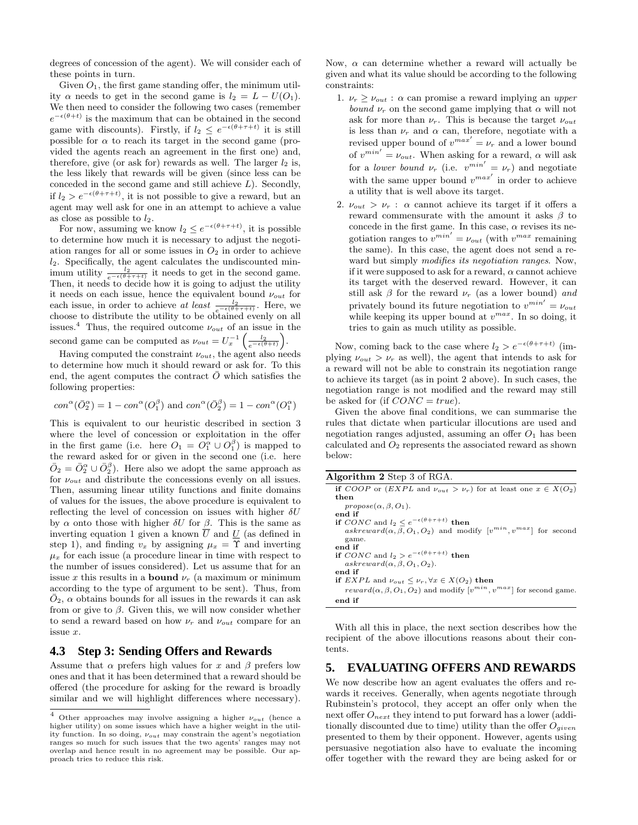degrees of concession of the agent). We will consider each of these points in turn.

Given  $O_1$ , the first game standing offer, the minimum utility  $\alpha$  needs to get in the second game is  $l_2 = L - U(O_1)$ . We then need to consider the following two cases (remember  $e^{-\epsilon(\theta+t)}$  is the maximum that can be obtained in the second game with discounts). Firstly, if  $l_2 \n\t\leq e^{-\epsilon(\theta + \tau + t)}$  it is still possible for  $\alpha$  to reach its target in the second game (provided the agents reach an agreement in the first one) and, therefore, give (or ask for) rewards as well. The larger  $l_2$  is, the less likely that rewards will be given (since less can be conceded in the second game and still achieve  $L$ ). Secondly, if  $l_2 > e^{-\epsilon(\theta + \tau + t)}$ , it is not possible to give a reward, but an agent may well ask for one in an attempt to achieve a value as close as possible to  $l_2$ .

For now, assuming we know  $l_2 \leq e^{-\epsilon(\theta + \tau + t)}$ , it is possible to determine how much it is necessary to adjust the negotiation ranges for all or some issues in  $O_2$  in order to achieve  $l_2$ . Specifically, the agent calculates the undiscounted minimum utility  $\frac{l_2}{e^{-\epsilon(\theta+\tau+t)}}$  it needs to get in the second game. Then, it needs to decide how it is going to adjust the utility it needs on each issue, hence the equivalent bound  $\nu_{out}$  for each issue, in order to achieve at least  $\frac{l_2}{e^{-\epsilon(\theta+\tau+t)}}$ . Here, we choose to distribute the utility to be obtained evenly on all issues.<sup>4</sup> Thus, the required outcome  $\nu_{out}$  of an issue in the second game can be computed as  $\nu_{out} = U_x^{-1} \left( \frac{l_2}{e^{-\epsilon(\theta + t)}} \right)$ .

Having computed the constraint  $\nu_{out}$ , the agent also needs to determine how much it should reward or ask for. To this end, the agent computes the contract  $\overline{O}$  which satisfies the following properties:

$$
con^{\alpha}(\bar{O}_{2}^{\alpha}) = 1 - con^{\alpha}(O_{1}^{\beta}) \text{ and } con^{\alpha}(\bar{O}_{2}^{\beta}) = 1 - con^{\alpha}(O_{1}^{\alpha})
$$

This is equivalent to our heuristic described in section 3 where the level of concession or exploitation in the offer in the first game (i.e. here  $O_1 = O_1^{\alpha} \cup O_1^{\beta}$ ) is mapped to the reward asked for or given in the second one (i.e. here  $\overline{O}_2 = \overline{O}_2^{\alpha} \cup \overline{O}_2^{\beta}$ . Here also we adopt the same approach as for  $\nu_{out}$  and distribute the concessions evenly on all issues. Then, assuming linear utility functions and finite domains of values for the issues, the above procedure is equivalent to reflecting the level of concession on issues with higher  $\delta U$ by  $\alpha$  onto those with higher  $\delta U$  for  $\beta$ . This is the same as inverting equation 1 given a known  $\overline{U}$  and  $\underline{U}$  (as defined in step 1), and finding  $v_x$  by assigning  $\mu_x = \Upsilon$  and inverting  $\mu_x$  for each issue (a procedure linear in time with respect to the number of issues considered). Let us assume that for an issue x this results in a **bound**  $\nu_r$  (a maximum or minimum according to the type of argument to be sent). Thus, from  $\overline{O}_2$ ,  $\alpha$  obtains bounds for all issues in the rewards it can ask from or give to  $\beta$ . Given this, we will now consider whether to send a reward based on how  $\nu_r$  and  $\nu_{out}$  compare for an issue x.

#### **4.3 Step 3: Sending Offers and Rewards**

Assume that  $\alpha$  prefers high values for x and  $\beta$  prefers low ones and that it has been determined that a reward should be offered (the procedure for asking for the reward is broadly similar and we will highlight differences where necessary).

Now,  $\alpha$  can determine whether a reward will actually be given and what its value should be according to the following constraints:

- 1.  $\nu_r \geq \nu_{out}$ :  $\alpha$  can promise a reward implying an upper bound  $\nu_r$  on the second game implying that  $\alpha$  will not ask for more than  $\nu_r$ . This is because the target  $\nu_{out}$ is less than  $\nu_r$  and  $\alpha$  can, therefore, negotiate with a revised upper bound of  $v^{max'} = \nu_r$  and a lower bound of  $v^{min'} = \nu_{out}$ . When asking for a reward,  $\alpha$  will ask for a *lower bound*  $\nu_r$  (i.e.  $v^{min'} = \nu_r$ ) and negotiate with the same upper bound  $v^{max'}$  in order to achieve a utility that is well above its target.
- 2.  $\nu_{out} > \nu_r$ :  $\alpha$  cannot achieve its target if it offers a reward commensurate with the amount it asks  $\beta$  to concede in the first game. In this case,  $\alpha$  revises its negotiation ranges to  $v^{min'} = \nu_{out}$  (with  $v^{max}$  remaining the same). In this case, the agent does not send a reward but simply *modifies its negotiation ranges*. Now, if it were supposed to ask for a reward,  $\alpha$  cannot achieve its target with the deserved reward. However, it can still ask  $\beta$  for the reward  $\nu_r$  (as a lower bound) and privately bound its future negotiation to  $v^{min'} = \nu_{out}$ while keeping its upper bound at  $v^{max}$ . In so doing, it tries to gain as much utility as possible.

Now, coming back to the case where  $l_2 > e^{-\epsilon(\theta + \tau + t)}$  (implying  $\nu_{out} > \nu_r$  as well), the agent that intends to ask for a reward will not be able to constrain its negotiation range to achieve its target (as in point 2 above). In such cases, the negotiation range is not modified and the reward may still be asked for (if  $CONC = true$ ).

Given the above final conditions, we can summarise the rules that dictate when particular illocutions are used and negotiation ranges adjusted, assuming an offer  $O_1$  has been calculated and  $O_2$  represents the associated reward as shown below:

| <b>Algorithm 2</b> Step 3 of RGA.                                                    |
|--------------------------------------------------------------------------------------|
| if COOP or $(EXPL$ and $\nu_{out} > \nu_r$ for at least one $x \in X(O_2)$           |
| then                                                                                 |
| $propose(\alpha, \beta, O_1).$                                                       |
| end if                                                                               |
| if CONC and $l_2 \leq e^{-\epsilon(\theta + \tau + t)}$ then                         |
| $askreward(\alpha, \beta, O_1, O_2)$ and modify $[v^{min}, v^{max}]$ for second      |
| game.                                                                                |
| end if                                                                               |
| if CONC and $l_2 > e^{-\epsilon(\theta + \tau + t)}$ then                            |
| $askreward(\alpha, \beta, O_1, O_2).$                                                |
| end if                                                                               |
| if EXPL and $\nu_{out} \leq \nu_r, \forall x \in X(O_2)$ then                        |
| reward( $\alpha, \beta, O_1, O_2$ ) and modify $[v^{min}, v^{max}]$ for second game. |
| end if                                                                               |

With all this in place, the next section describes how the recipient of the above illocutions reasons about their contents.

# **5. EVALUATING OFFERS AND REWARDS**

We now describe how an agent evaluates the offers and rewards it receives. Generally, when agents negotiate through Rubinstein's protocol, they accept an offer only when the next offer  $O_{next}$  they intend to put forward has a lower (additionally discounted due to time) utility than the offer  $O_{given}$ presented to them by their opponent. However, agents using persuasive negotiation also have to evaluate the incoming offer together with the reward they are being asked for or

<sup>&</sup>lt;sup>4</sup> Other approaches may involve assigning a higher  $\nu_{out}$  (hence a higher utility) on some issues which have a higher weight in the utility function. In so doing,  $\nu_{out}$  may constrain the agent's negotiation ranges so much for such issues that the two agents' ranges may not overlap and hence result in no agreement may be possible. Our approach tries to reduce this risk.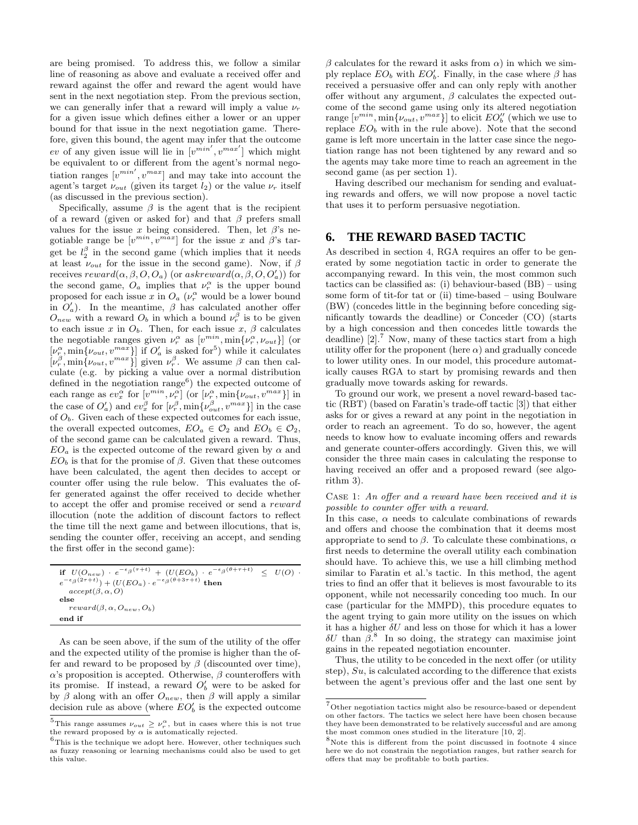are being promised. To address this, we follow a similar line of reasoning as above and evaluate a received offer and reward against the offer and reward the agent would have sent in the next negotiation step. From the previous section, we can generally infer that a reward will imply a value  $\nu_r$ for a given issue which defines either a lower or an upper bound for that issue in the next negotiation game. Therefore, given this bound, the agent may infer that the outcome ev of any given issue will lie in  $[v^{min'} , v^{max'}]$  which might be equivalent to or different from the agent's normal negotiation ranges  $[v^{min'} , v^{max}]$  and may take into account the agent's target  $\nu_{out}$  (given its target  $l_2$ ) or the value  $\nu_r$  itself (as discussed in the previous section).

Specifically, assume  $\beta$  is the agent that is the recipient of a reward (given or asked for) and that  $\beta$  prefers small values for the issue x being considered. Then, let  $\beta$ 's negotiable range be  $[v^{min}, v^{max}]$  for the issue x and  $\beta$ 's target be  $l_2^{\beta}$  in the second game (which implies that it needs at least  $\nu_{out}$  for the issue in the second game). Now, if  $\beta$ receives  $reward(\alpha, \beta, O, O_a)$  (or  $askreward(\alpha, \beta, O, O_a')$ ) for the second game,  $O_a$  implies that  $\nu_r^{\alpha}$  is the upper bound proposed for each issue x in  $O_a$  ( $\nu_r^{\alpha}$  would be a lower bound in  $O'_a$ ). In the meantime,  $\beta$  has calculated another offer  $O_{new}$  with a reward  $O_b$  in which a bound  $\nu_r^{\beta}$  is to be given to each issue x in  $O<sub>b</sub>$ . Then, for each issue x,  $\beta$  calculates the negotiable ranges given  $\nu_r^{\alpha}$  as  $[v^{min}, \min\{\nu_r^{\alpha}, \nu_{out}\}]$  (or  $[\nu_r^{\alpha}, \min{\{\nu_{out}, v^{max}\}}]$  if  $O'_a$  is asked for<sup>5</sup>) while it calculates  $[\nu_r^{\beta}, \min{\{\nu_{out}, v^{max}\}}]$  given  $\nu_r^{\beta}$ . We assume  $\beta$  can then calculate (e.g. by picking a value over a normal distribution defined in the negotiation range<sup>6</sup>) the expected outcome of each range as  $ev_x^{\alpha}$  for  $[v^{min}, \nu_r^{\alpha}]$  (or  $[\nu_r^{\alpha}, \min\{\nu_{out}, v^{max}\}]$ ) in the case of  $O'_a$ ) and  $ev_x^{\beta}$  for  $[\nu_r^{\beta}, \min\{\nu_{out}^{\beta}, v^{max}\}]$  in the case of  $O_b$ . Given each of these expected outcomes for each issue, the overall expected outcomes,  $EO_a \in \mathcal{O}_2$  and  $EO_b \in \mathcal{O}_2$ , of the second game can be calculated given a reward. Thus,  $EO_a$  is the expected outcome of the reward given by  $\alpha$  and  $EO<sub>b</sub>$  is that for the promise of  $\beta$ . Given that these outcomes have been calculated, the agent then decides to accept or counter offer using the rule below. This evaluates the offer generated against the offer received to decide whether to accept the offer and promise received or send a reward illocution (note the addition of discount factors to reflect the time till the next game and between illocutions, that is, sending the counter offer, receiving an accept, and sending the first offer in the second game):

| if $U(O_{new}) \cdot e^{-\epsilon \beta (\tau + t)} + (U(EO_b) \cdot e^{-\epsilon \beta (\theta + \tau + t)} \leq U(O)$ . |  |
|---------------------------------------------------------------------------------------------------------------------------|--|
| $e^{-\epsilon_{\beta}(2\tau+t)}) + (U(EO_{a}) \cdot e^{-\epsilon_{\beta}(\theta+3\tau+t)})$ then                          |  |
| $accept(\beta, \alpha, O)$                                                                                                |  |
| else                                                                                                                      |  |
| $reward(\beta, \alpha, O_{new}, O_b)$                                                                                     |  |
| end if                                                                                                                    |  |

As can be seen above, if the sum of the utility of the offer and the expected utility of the promise is higher than the offer and reward to be proposed by  $\beta$  (discounted over time), α's proposition is accepted. Otherwise,  $β$  counteroffers with its promise. If instead, a reward  $O'_{b}$  were to be asked for by  $\beta$  along with an offer  $O_{new}$ , then  $\beta$  will apply a similar decision rule as above (where  $EO'_{b}$  is the expected outcome

 $β$  calculates for the reward it asks from  $α$ ) in which we simply replace  $EO_b$  with  $EO_b'$ . Finally, in the case where  $\beta$  has received a persuasive offer and can only reply with another offer without any argument,  $\beta$  calculates the expected outcome of the second game using only its altered negotiation range  $[v^{min}, \min\{\nu_{out}, v^{max}\}]$  to elicit  $EO''_b$  (which we use to replace  $EO_b$  with in the rule above). Note that the second game is left more uncertain in the latter case since the negotiation range has not been tightened by any reward and so the agents may take more time to reach an agreement in the second game (as per section 1).

Having described our mechanism for sending and evaluating rewards and offers, we will now propose a novel tactic that uses it to perform persuasive negotiation.

# **6. THE REWARD BASED TACTIC**

As described in section 4, RGA requires an offer to be generated by some negotiation tactic in order to generate the accompanying reward. In this vein, the most common such tactics can be classified as: (i) behaviour-based (BB) – using some form of tit-for tat or (ii) time-based – using Boulware (BW) (concedes little in the beginning before conceding significantly towards the deadline) or Conceder (CO) (starts by a high concession and then concedes little towards the deadline)  $[2]$ .<sup>7</sup> Now, many of these tactics start from a high utility offer for the proponent (here  $\alpha$ ) and gradually concede to lower utility ones. In our model, this procedure automatically causes RGA to start by promising rewards and then gradually move towards asking for rewards.

To ground our work, we present a novel reward-based tactic (RBT) (based on Faratin's trade-off tactic [3]) that either asks for or gives a reward at any point in the negotiation in order to reach an agreement. To do so, however, the agent needs to know how to evaluate incoming offers and rewards and generate counter-offers accordingly. Given this, we will consider the three main cases in calculating the response to having received an offer and a proposed reward (see algorithm 3).

Case 1: An offer and a reward have been received and it is possible to counter offer with a reward.

In this case,  $\alpha$  needs to calculate combinations of rewards and offers and choose the combination that it deems most appropriate to send to  $\beta$ . To calculate these combinations,  $\alpha$ first needs to determine the overall utility each combination should have. To achieve this, we use a hill climbing method similar to Faratin et al.'s tactic. In this method, the agent tries to find an offer that it believes is most favourable to its opponent, while not necessarily conceding too much. In our case (particular for the MMPD), this procedure equates to the agent trying to gain more utility on the issues on which it has a higher  $\delta U$  and less on those for which it has a lower  $δU$  than  $β$ <sup>8</sup>. In so doing, the strategy can maximise joint gains in the repeated negotiation encounter.

Thus, the utility to be conceded in the next offer (or utility step),  $Su$ , is calculated according to the difference that exists between the agent's previous offer and the last one sent by

<sup>&</sup>lt;sup>5</sup>This range assumes  $\nu_{out} \geq \nu_r^{\alpha}$ , but in cases where this is not true the reward proposed by  $\alpha$  is automatically rejected.

 $^6\!$  This is the technique we adopt here. However, other techniques such as fuzzy reasoning or learning mechanisms could also be used to get this value.

 ${\rm ^7O}$  ther negotiation tactics might also be resource-based or dependent on other factors. The tactics we select here have been chosen because they have been demonstrated to be relatively successful and are among the most common ones studied in the literature [10, 2].

<sup>8</sup>Note this is different from the point discussed in footnote 4 since here we do not constrain the negotiation ranges, but rather search for offers that may be profitable to both parties.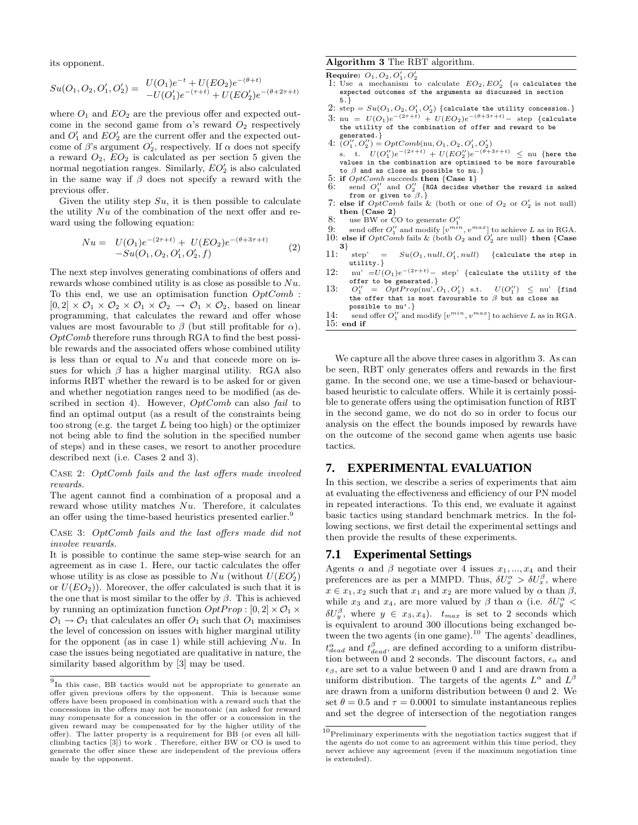its opponent.

$$
Su(O_1, O_2, O'_1, O'_2) = \frac{U(O_1)e^{-t} + U(EO_2)e^{-(\theta + t)}}{-U(O'_1)e^{-(\tau + t)} + U(EO'_2)e^{-(\theta + 2\tau + t)}}
$$

where  $O_1$  and  $EO_2$  are the previous offer and expected outcome in the second game from  $\alpha$ 's reward  $O_2$  respectively and  $O'_1$  and  $EO'_2$  are the current offer and the expected outcome of  $\beta$ 's argument  $O'_2$ , respectively. If  $\alpha$  does not specify a reward  $O_2$ ,  $EO_2$  is calculated as per section 5 given the normal negotiation ranges. Similarly,  $EO'_{2}$  is also calculated in the same way if  $\beta$  does not specify a reward with the previous offer.

Given the utility step  $Su$ , it is then possible to calculate the utility  $Nu$  of the combination of the next offer and reward using the following equation:

$$
Nu = U(O_1)e^{-(2\tau+t)} + U(EO_2)e^{-(\theta+3\tau+t)}
$$
  
-Su(O<sub>1</sub>, O<sub>2</sub>, O'<sub>1</sub>, O'<sub>2</sub>, f) (2)

The next step involves generating combinations of offers and rewards whose combined utility is as close as possible to Nu. To this end, we use an optimisation function  $OptComb$ :  $[0, 2] \times \mathcal{O}_1 \times \mathcal{O}_2 \times \mathcal{O}_1 \times \mathcal{O}_2 \rightarrow \mathcal{O}_1 \times \mathcal{O}_2$ , based on linear programming, that calculates the reward and offer whose values are most favourable to  $\beta$  (but still profitable for  $\alpha$ ). OptComb therefore runs through RGA to find the best possible rewards and the associated offers whose combined utility is less than or equal to  $Nu$  and that concede more on issues for which  $\beta$  has a higher marginal utility. RGA also informs RBT whether the reward is to be asked for or given and whether negotiation ranges need to be modified (as described in section 4). However, OptComb can also fail to find an optimal output (as a result of the constraints being too strong (e.g. the target  $L$  being too high) or the optimizer not being able to find the solution in the specified number of steps) and in these cases, we resort to another procedure described next (i.e. Cases 2 and 3).

Case 2: OptComb fails and the last offers made involved rewards.

The agent cannot find a combination of a proposal and a reward whose utility matches Nu. Therefore, it calculates an offer using the time-based heuristics presented earlier.<sup>9</sup>

Case 3: OptComb fails and the last offers made did not involve rewards.

It is possible to continue the same step-wise search for an agreement as in case 1. Here, our tactic calculates the offer whose utility is as close as possible to  $Nu$  (without  $U(EO_2')$ ) or  $U(EO_2)$ . Moreover, the offer calculated is such that it is the one that is most similar to the offer by  $\beta$ . This is achieved by running an optimization function  $OptProp : [0, 2] \times \mathcal{O}_1 \times$  $\mathcal{O}_1 \rightarrow \mathcal{O}_1$  that calculates an offer  $O_1$  such that  $O_1$  maximises the level of concession on issues with higher marginal utility for the opponent (as in case 1) while still achieving  $Nu$ . In case the issues being negotiated are qualitative in nature, the similarity based algorithm by [3] may be used.

Algorithm 3 The RBT algorithm.

Require:  $O_1$ ,  $O_2$ ,  $O'_1$ ,  $O'_2$ 

- 1: Use a mechanism to calculate  $EO_2, EO'_2$  { $\alpha$  calculates the expected outcomes of the arguments as discussed in section 5.}
- 2:  $\text{step} = \textit{Su}(O_1, O_2, O'_1, O'_2)$  {calculate the utility concession.}
- $3:$  nu =  $U(O_1)e^{-(2\tau+t)}$  +  $U(EO_2)e^{-(\theta+3\tau+t)}$  step {calculate the utility of the combination of offer and reward to be generated.}
- 4:  $(O''_1, O''_2) = OptComb(\text{nu}, O_1, O_2, O'_1, O'_2)$ s. t.  $U(O''_1)e^{-(2\tau+t)} + U(EO''_2)e^{-(\theta+3\tau+t)} \leq \text{nu (here the)}$ values in the combination are optimised to be more favourable to  $\beta$  and as close as possible to nu.}
- 
- 5: if  $OptComb$  succeeds then {Case 1}<br>6: send O'' and O'' {RGA decides whether the reward is asked<br>from or given to β.}
- 7: else if  $OptComb$  fails & (both or one of  $O_2$  or  $O'_2$  is not null) then {Case 2}
- 
- 8: use BW or CO to generate  $O_1''$ <br>9: send offer  $O_1''$  and modify  $[v^{min}, v^{max}]$  to achieve L as in RGA.
- 10: else if  $OptComb$  fails & (both  $O_2$  and  $O_2'$  are null) then {Case  $\begin{array}{c} \textbf{3} \\ 11: \end{array}$  step'
- 11: step' =  $Su(O_1, null, O'_1, null)$  {calculate the step in utility.}
- 12: nu' = $U(O_1)e^{-(2\tau+t)}$  step' {calculate the utility of the offer to be generated.}<br>
13:  $O_1'' = OptProp(nu', O_1, O_1')$  s.t.  $U(O_1'') \leq nu'$  {find
- the offer that is most favourable to  $\beta$  but as close as possible to nu'.}

14: send offer  $O_1''$  and modify  $[v^{min}, v^{max}]$  to achieve L as in RGA. 15: end if

We capture all the above three cases in algorithm 3. As can be seen, RBT only generates offers and rewards in the first game. In the second one, we use a time-based or behaviourbased heuristic to calculate offers. While it is certainly possible to generate offers using the optimisation function of RBT in the second game, we do not do so in order to focus our analysis on the effect the bounds imposed by rewards have on the outcome of the second game when agents use basic tactics.

#### **7. EXPERIMENTAL EVALUATION**

In this section, we describe a series of experiments that aim at evaluating the effectiveness and efficiency of our PN model in repeated interactions. To this end, we evaluate it against basic tactics using standard benchmark metrics. In the following sections, we first detail the experimental settings and then provide the results of these experiments.

#### **7.1 Experimental Settings**

Agents  $\alpha$  and  $\beta$  negotiate over 4 issues  $x_1, ..., x_4$  and their preferences are as per a MMPD. Thus,  $\delta U_x^{\alpha} > \delta U_x^{\beta}$ , where  $x \in x_1, x_2$  such that  $x_1$  and  $x_2$  are more valued by  $\alpha$  than  $\beta$ , while  $x_3$  and  $x_4$ , are more valued by  $\beta$  than  $\alpha$  (i.e.  $\delta U_y^{\alpha}$  <  $\delta U_y^{\beta}$ , where  $y \in x_3, x_4$ ).  $t_{max}$  is set to 2 seconds which is equivalent to around 300 illocutions being exchanged between the two agents (in one game).<sup>10</sup> The agents' deadlines,  $t^{\alpha}_{dead}$  and  $t^{\beta}_{dead}$ , are defined according to a uniform distribution between 0 and 2 seconds. The discount factors,  $\epsilon_{\alpha}$  and  $\epsilon_{\beta}$ , are set to a value between 0 and 1 and are drawn from a uniform distribution. The targets of the agents  $L^{\alpha}$  and  $L^{\beta}$ are drawn from a uniform distribution between 0 and 2. We set  $\theta = 0.5$  and  $\tau = 0.0001$  to simulate instantaneous replies and set the degree of intersection of the negotiation ranges

<sup>&</sup>lt;sup>9</sup>In this case, BB tactics would not be appropriate to generate an offer given previous offers by the opponent. This is because some offers have been proposed in combination with a reward such that the concessions in the offers may not be monotonic (an asked for reward may compensate for a concession in the offer or a concession in the given reward may be compensated for by the higher utility of the offer). The latter property is a requirement for BB (or even all hillclimbing tactics [3]) to work . Therefore, either BW or CO is used to generate the offer since these are independent of the previous offers made by the opponent.

 $^{10}\rm{Preliminary~ experiments}$  with the negotiation tactics suggest that if the agents do not come to an agreement within this time period, they never achieve any agreement (even if the maximum negotiation time is extended).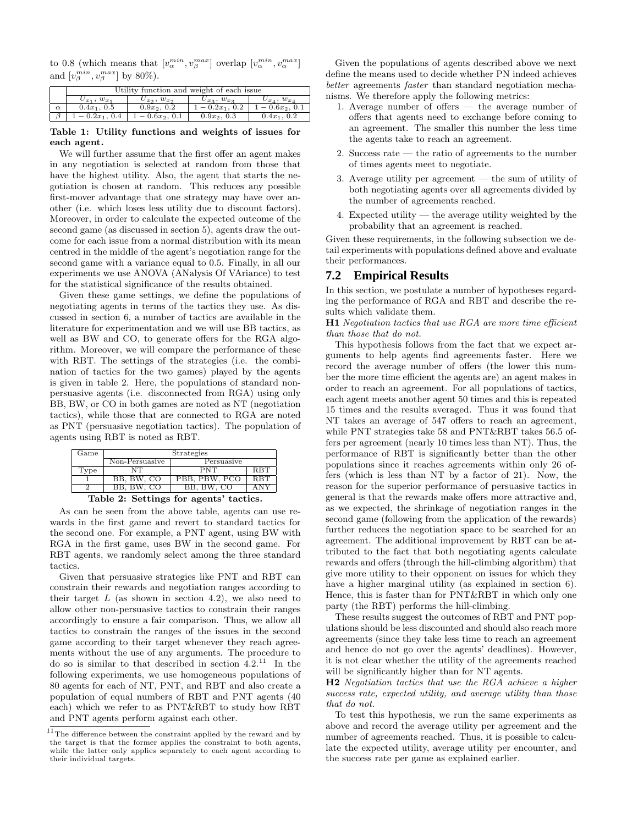to 0.8 (which means that  $[v_\alpha^{min}, v_\beta^{max}]$  overlap  $[v_\alpha^{min}, v_\alpha^{max}]$ and  $[v_\beta^{min}, v_\beta^{max}]$  by 80%).

|          | Utility function and weight of each issue |                    |                    |                        |  |  |  |
|----------|-------------------------------------------|--------------------|--------------------|------------------------|--|--|--|
|          | $w_{x_1}$<br>$\cup$ $x_{1}$ ,             | $U_{x_2}, w_{x_2}$ | $U_{x_2}, w_{x_2}$ | $U_{x_{A}}, w_{x_{A}}$ |  |  |  |
| $\alpha$ | $0.4x_1, 0.5$                             | $0.9x_2$ , 0.2     | $1-0.2x_1$ , 0.2   | $1-0.6x_2, 0.1$        |  |  |  |
|          | $1-0.2x_1, 0.4$                           | $1-0.6x_2, 0.1$    | $0.9x_2, 0.3$      | $0.4x_1$ , 0.2         |  |  |  |

Table 1: Utility functions and weights of issues for each agent.

We will further assume that the first offer an agent makes in any negotiation is selected at random from those that have the highest utility. Also, the agent that starts the negotiation is chosen at random. This reduces any possible first-mover advantage that one strategy may have over another (i.e. which loses less utility due to discount factors). Moreover, in order to calculate the expected outcome of the second game (as discussed in section 5), agents draw the outcome for each issue from a normal distribution with its mean centred in the middle of the agent's negotiation range for the second game with a variance equal to 0.5. Finally, in all our experiments we use ANOVA (ANalysis Of VAriance) to test for the statistical significance of the results obtained.

Given these game settings, we define the populations of negotiating agents in terms of the tactics they use. As discussed in section 6, a number of tactics are available in the literature for experimentation and we will use BB tactics, as well as BW and CO, to generate offers for the RGA algorithm. Moreover, we will compare the performance of these with RBT. The settings of the strategies (i.e. the combination of tactics for the two games) played by the agents is given in table 2. Here, the populations of standard nonpersuasive agents (i.e. disconnected from RGA) using only BB, BW, or CO in both games are noted as NT (negotiation tactics), while those that are connected to RGA are noted as PNT (persuasive negotiation tactics). The population of agents using RBT is noted as RBT.

| Game                                  | Strategies              |               |            |  |  |  |
|---------------------------------------|-------------------------|---------------|------------|--|--|--|
|                                       | Non-Persuasive          | Persuasive    |            |  |  |  |
| Type                                  | NТ                      | <b>PNT</b>    | <b>RBT</b> |  |  |  |
|                                       | BB, BW, CO              | PBB, PBW, PCO | <b>RBT</b> |  |  |  |
|                                       | $BB. \overline{BW. CO}$ | BB, BW, CO    | ANY        |  |  |  |
| Table 9. Cattings for counts' tooties |                         |               |            |  |  |  |

Table 2: Settings for agents' tactics.

As can be seen from the above table, agents can use rewards in the first game and revert to standard tactics for the second one. For example, a PNT agent, using BW with RGA in the first game, uses BW in the second game. For RBT agents, we randomly select among the three standard tactics.

Given that persuasive strategies like PNT and RBT can constrain their rewards and negotiation ranges according to their target  $L$  (as shown in section 4.2), we also need to allow other non-persuasive tactics to constrain their ranges accordingly to ensure a fair comparison. Thus, we allow all tactics to constrain the ranges of the issues in the second game according to their target whenever they reach agreements without the use of any arguments. The procedure to do so is similar to that described in section  $4.2^{11}$  In the following experiments, we use homogeneous populations of 80 agents for each of NT, PNT, and RBT and also create a population of equal numbers of RBT and PNT agents (40 each) which we refer to as PNT&RBT to study how RBT and PNT agents perform against each other.

Given the populations of agents described above we next define the means used to decide whether PN indeed achieves better agreements faster than standard negotiation mechanisms. We therefore apply the following metrics:

- 1. Average number of offers the average number of offers that agents need to exchange before coming to an agreement. The smaller this number the less time the agents take to reach an agreement.
- 2. Success rate the ratio of agreements to the number of times agents meet to negotiate.
- 3. Average utility per agreement the sum of utility of both negotiating agents over all agreements divided by the number of agreements reached.
- 4. Expected utility the average utility weighted by the probability that an agreement is reached.

Given these requirements, in the following subsection we detail experiments with populations defined above and evaluate their performances.

#### **7.2 Empirical Results**

In this section, we postulate a number of hypotheses regarding the performance of RGA and RBT and describe the results which validate them.

H1 Negotiation tactics that use RGA are more time efficient than those that do not.

This hypothesis follows from the fact that we expect arguments to help agents find agreements faster. Here we record the average number of offers (the lower this number the more time efficient the agents are) an agent makes in order to reach an agreement. For all populations of tactics, each agent meets another agent 50 times and this is repeated 15 times and the results averaged. Thus it was found that NT takes an average of 547 offers to reach an agreement, while PNT strategies take 58 and PNT&RBT takes 56.5 offers per agreement (nearly 10 times less than NT). Thus, the performance of RBT is significantly better than the other populations since it reaches agreements within only 26 offers (which is less than NT by a factor of 21). Now, the reason for the superior performance of persuasive tactics in general is that the rewards make offers more attractive and, as we expected, the shrinkage of negotiation ranges in the second game (following from the application of the rewards) further reduces the negotiation space to be searched for an agreement. The additional improvement by RBT can be attributed to the fact that both negotiating agents calculate rewards and offers (through the hill-climbing algorithm) that give more utility to their opponent on issues for which they have a higher marginal utility (as explained in section 6). Hence, this is faster than for PNT&RBT in which only one party (the RBT) performs the hill-climbing.

These results suggest the outcomes of RBT and PNT populations should be less discounted and should also reach more agreements (since they take less time to reach an agreement and hence do not go over the agents' deadlines). However, it is not clear whether the utility of the agreements reached will be significantly higher than for NT agents.

H2 Negotiation tactics that use the RGA achieve a higher success rate, expected utility, and average utility than those that do not.

To test this hypothesis, we run the same experiments as above and record the average utility per agreement and the number of agreements reached. Thus, it is possible to calculate the expected utility, average utility per encounter, and the success rate per game as explained earlier.

 $^{11}\mathrm{The}$  difference between the constraint applied by the reward and by the target is that the former applies the constraint to both agents, while the latter only applies separately to each agent according to their individual targets.